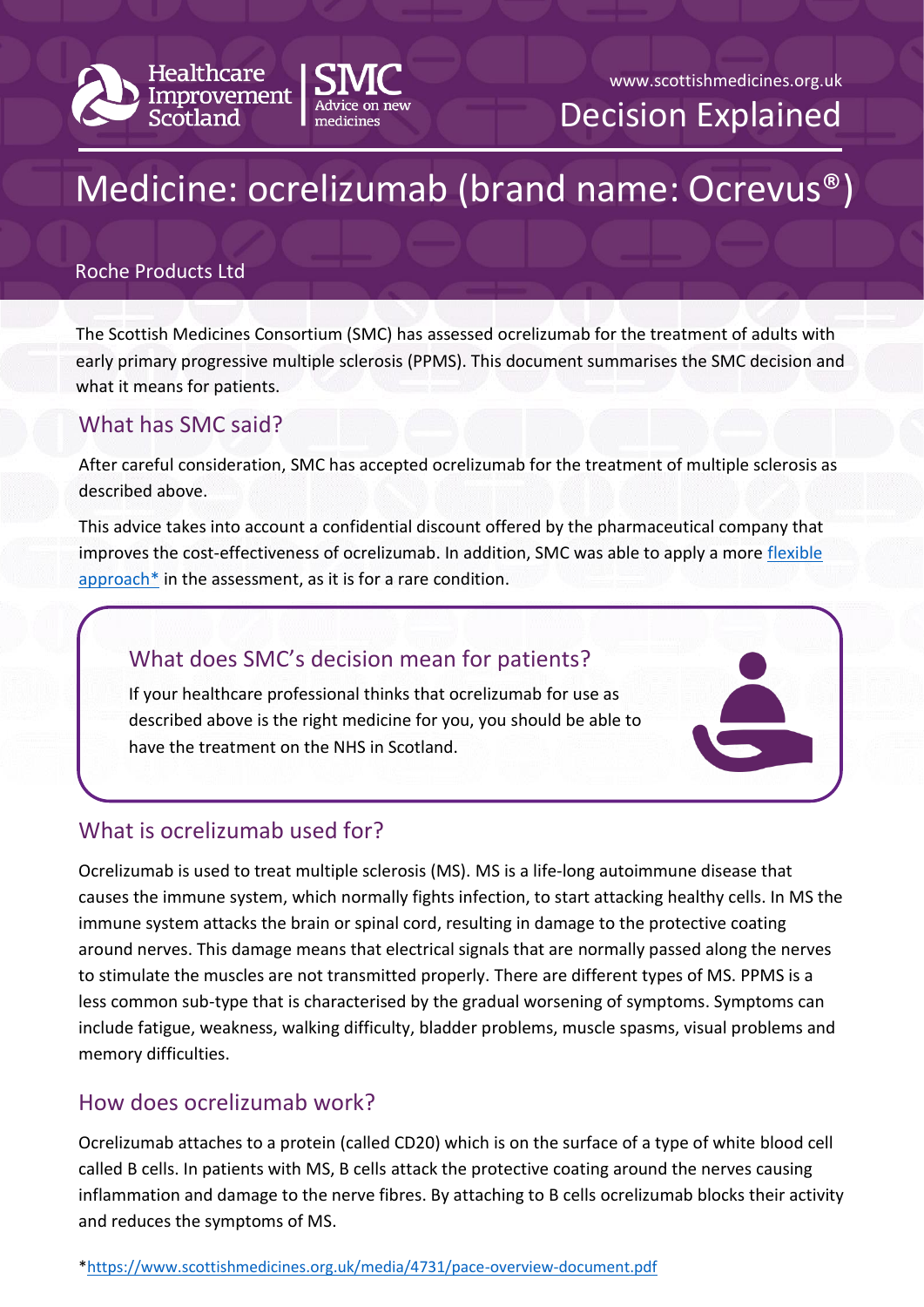



# Medicine: ocrelizumab (brand name: Ocrevus®)

#### Roche Products Ltd

The Scottish Medicines Consortium (SMC) has assessed ocrelizumab for the treatment of adults with early primary progressive multiple sclerosis (PPMS). This document summarises the SMC decision and what it means for patients.

## What has SMC said?

After careful consideration, SMC has accepted ocrelizumab for the treatment of multiple sclerosis as described above.

This advice takes into account a confidential discount offered by the pharmaceutical company that improves the cost-effectiveness of ocrelizumab. In addition, SMC was able to apply a more [flexible](https://www.scottishmedicines.org.uk/media/4731/pace-overview-document.pdf)  [approach\\*](https://www.scottishmedicines.org.uk/media/4731/pace-overview-document.pdf) in the assessment, as it is for a rare condition.

### What does SMC's decision mean for patients?

If your healthcare professional thinks that ocrelizumab for use as described above is the right medicine for you, you should be able to have the treatment on the NHS in Scotland.



# What is ocrelizumab used for?

Ocrelizumab is used to treat multiple sclerosis (MS). MS is a life-long autoimmune disease that causes the immune system, which normally fights infection, to start attacking healthy cells. In MS the immune system attacks the brain or spinal cord, resulting in damage to the protective coating around nerves. This damage means that electrical signals that are normally passed along the nerves to stimulate the muscles are not transmitted properly. There are different types of MS. PPMS is a less common sub-type that is characterised by the gradual worsening of symptoms. Symptoms can include fatigue, weakness, walking difficulty, bladder problems, muscle spasms, visual problems and memory difficulties.

# How does ocrelizumab work?

Ocrelizumab attaches to a protein (called CD20) which is on the surface of a type of white blood cell called B cells. In patients with MS, B cells attack the protective coating around the nerves causing inflammation and damage to the nerve fibres. By attaching to B cells ocrelizumab blocks their activity and reduces the symptoms of MS.

[\\*https://www.scottishmedicines.org.uk/media/4731/pace-overview-document.pdf](https://www.scottishmedicines.org.uk/media/4731/pace-overview-document.pdf)